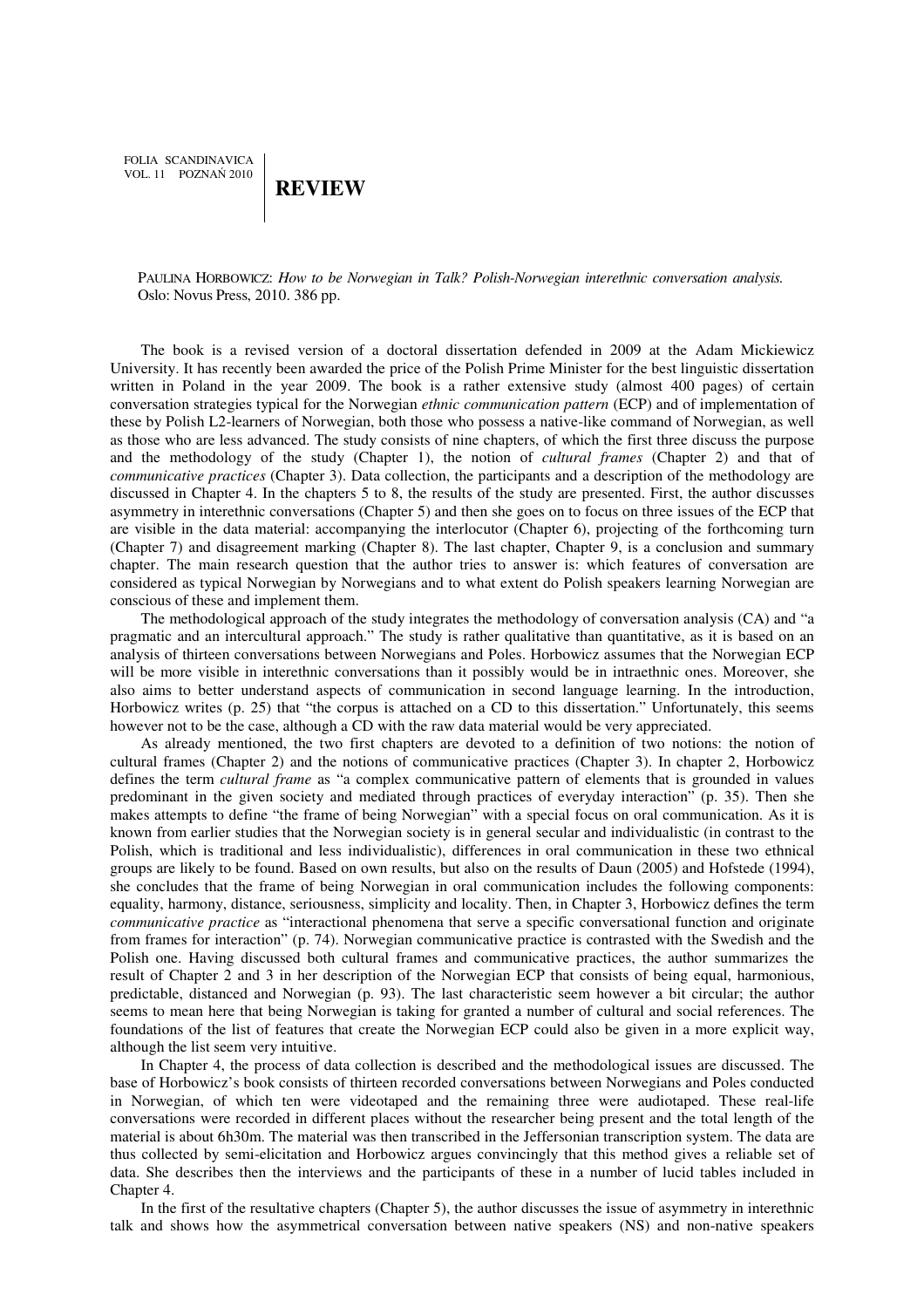FOLIA SCANDINAVICA VOL. 11 POZNAŃ 2010

## **REVIEW**

PAULINA HORBOWICZ: *How to be Norwegian in Talk? Polish-Norwegian interethnic conversation analysis.*  Oslo: Novus Press, 2010. 386 pp.

The book is a revised version of a doctoral dissertation defended in 2009 at the Adam Mickiewicz University. It has recently been awarded the price of the Polish Prime Minister for the best linguistic dissertation written in Poland in the year 2009. The book is a rather extensive study (almost 400 pages) of certain conversation strategies typical for the Norwegian *ethnic communication pattern* (ECP) and of implementation of these by Polish L2-learners of Norwegian, both those who possess a native-like command of Norwegian, as well as those who are less advanced. The study consists of nine chapters, of which the first three discuss the purpose and the methodology of the study (Chapter 1), the notion of *cultural frames* (Chapter 2) and that of *communicative practices* (Chapter 3). Data collection, the participants and a description of the methodology are discussed in Chapter 4. In the chapters 5 to 8, the results of the study are presented. First, the author discusses asymmetry in interethnic conversations (Chapter 5) and then she goes on to focus on three issues of the ECP that are visible in the data material: accompanying the interlocutor (Chapter 6), projecting of the forthcoming turn (Chapter 7) and disagreement marking (Chapter 8). The last chapter, Chapter 9, is a conclusion and summary chapter. The main research question that the author tries to answer is: which features of conversation are considered as typical Norwegian by Norwegians and to what extent do Polish speakers learning Norwegian are conscious of these and implement them.

The methodological approach of the study integrates the methodology of conversation analysis (CA) and "a pragmatic and an intercultural approach." The study is rather qualitative than quantitative, as it is based on an analysis of thirteen conversations between Norwegians and Poles. Horbowicz assumes that the Norwegian ECP will be more visible in interethnic conversations than it possibly would be in intraethnic ones. Moreover, she also aims to better understand aspects of communication in second language learning. In the introduction, Horbowicz writes (p. 25) that "the corpus is attached on a CD to this dissertation." Unfortunately, this seems however not to be the case, although a CD with the raw data material would be very appreciated.

As already mentioned, the two first chapters are devoted to a definition of two notions: the notion of cultural frames (Chapter 2) and the notions of communicative practices (Chapter 3). In chapter 2, Horbowicz defines the term *cultural frame* as "a complex communicative pattern of elements that is grounded in values predominant in the given society and mediated through practices of everyday interaction" (p. 35). Then she makes attempts to define "the frame of being Norwegian" with a special focus on oral communication. As it is known from earlier studies that the Norwegian society is in general secular and individualistic (in contrast to the Polish, which is traditional and less individualistic), differences in oral communication in these two ethnical groups are likely to be found. Based on own results, but also on the results of Daun (2005) and Hofstede (1994), she concludes that the frame of being Norwegian in oral communication includes the following components: equality, harmony, distance, seriousness, simplicity and locality. Then, in Chapter 3, Horbowicz defines the term *communicative practice* as "interactional phenomena that serve a specific conversational function and originate from frames for interaction" (p. 74). Norwegian communicative practice is contrasted with the Swedish and the Polish one. Having discussed both cultural frames and communicative practices, the author summarizes the result of Chapter 2 and 3 in her description of the Norwegian ECP that consists of being equal, harmonious, predictable, distanced and Norwegian (p. 93). The last characteristic seem however a bit circular; the author seems to mean here that being Norwegian is taking for granted a number of cultural and social references. The foundations of the list of features that create the Norwegian ECP could also be given in a more explicit way, although the list seem very intuitive.

In Chapter 4, the process of data collection is described and the methodological issues are discussed. The base of Horbowicz's book consists of thirteen recorded conversations between Norwegians and Poles conducted in Norwegian, of which ten were videotaped and the remaining three were audiotaped. These real-life conversations were recorded in different places without the researcher being present and the total length of the material is about 6h30m. The material was then transcribed in the Jeffersonian transcription system. The data are thus collected by semi-elicitation and Horbowicz argues convincingly that this method gives a reliable set of data. She describes then the interviews and the participants of these in a number of lucid tables included in Chapter 4.

In the first of the resultative chapters (Chapter 5), the author discusses the issue of asymmetry in interethnic talk and shows how the asymmetrical conversation between native speakers (NS) and non-native speakers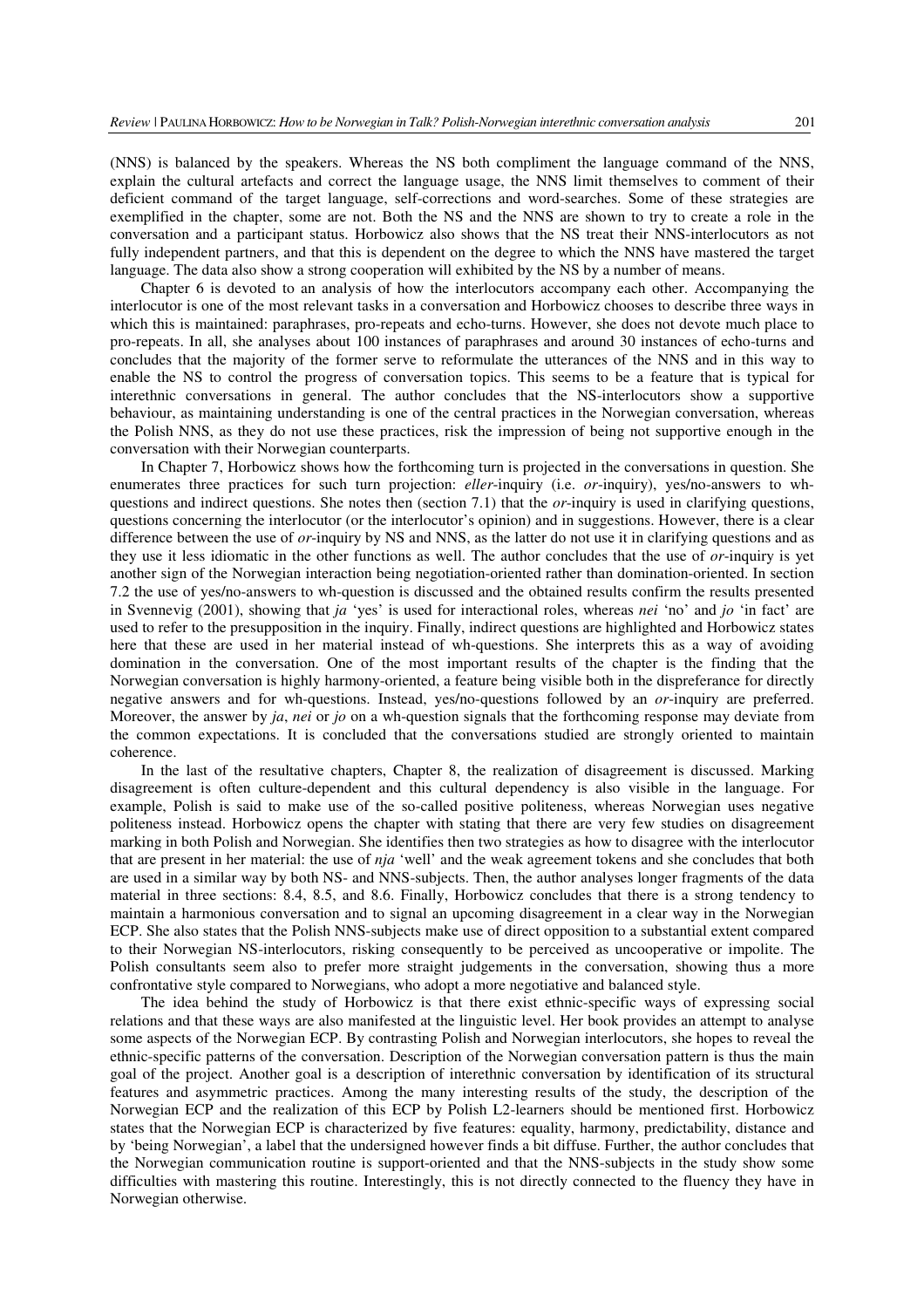(NNS) is balanced by the speakers. Whereas the NS both compliment the language command of the NNS, explain the cultural artefacts and correct the language usage, the NNS limit themselves to comment of their deficient command of the target language, self-corrections and word-searches. Some of these strategies are exemplified in the chapter, some are not. Both the NS and the NNS are shown to try to create a role in the conversation and a participant status. Horbowicz also shows that the NS treat their NNS-interlocutors as not fully independent partners, and that this is dependent on the degree to which the NNS have mastered the target language. The data also show a strong cooperation will exhibited by the NS by a number of means.

Chapter 6 is devoted to an analysis of how the interlocutors accompany each other. Accompanying the interlocutor is one of the most relevant tasks in a conversation and Horbowicz chooses to describe three ways in which this is maintained: paraphrases, pro-repeats and echo-turns. However, she does not devote much place to pro-repeats. In all, she analyses about 100 instances of paraphrases and around 30 instances of echo-turns and concludes that the majority of the former serve to reformulate the utterances of the NNS and in this way to enable the NS to control the progress of conversation topics. This seems to be a feature that is typical for interethnic conversations in general. The author concludes that the NS-interlocutors show a supportive behaviour, as maintaining understanding is one of the central practices in the Norwegian conversation, whereas the Polish NNS, as they do not use these practices, risk the impression of being not supportive enough in the conversation with their Norwegian counterparts.

In Chapter 7, Horbowicz shows how the forthcoming turn is projected in the conversations in question. She enumerates three practices for such turn projection: *eller*-inquiry (i.e. *or*-inquiry), yes/no-answers to whquestions and indirect questions. She notes then (section 7.1) that the *or*-inquiry is used in clarifying questions, questions concerning the interlocutor (or the interlocutor's opinion) and in suggestions. However, there is a clear difference between the use of *or*-inquiry by NS and NNS, as the latter do not use it in clarifying questions and as they use it less idiomatic in the other functions as well. The author concludes that the use of *or*-inquiry is yet another sign of the Norwegian interaction being negotiation-oriented rather than domination-oriented. In section 7.2 the use of yes/no-answers to wh-question is discussed and the obtained results confirm the results presented in Svennevig (2001), showing that *ja* 'yes' is used for interactional roles, whereas *nei* 'no' and *jo* 'in fact' are used to refer to the presupposition in the inquiry. Finally, indirect questions are highlighted and Horbowicz states here that these are used in her material instead of wh-questions. She interprets this as a way of avoiding domination in the conversation. One of the most important results of the chapter is the finding that the Norwegian conversation is highly harmony-oriented, a feature being visible both in the dispreferance for directly negative answers and for wh-questions. Instead, yes/no-questions followed by an *or*-inquiry are preferred. Moreover, the answer by *ja*, *nei* or *jo* on a wh-question signals that the forthcoming response may deviate from the common expectations. It is concluded that the conversations studied are strongly oriented to maintain coherence.

In the last of the resultative chapters, Chapter 8, the realization of disagreement is discussed. Marking disagreement is often culture-dependent and this cultural dependency is also visible in the language. For example, Polish is said to make use of the so-called positive politeness, whereas Norwegian uses negative politeness instead. Horbowicz opens the chapter with stating that there are very few studies on disagreement marking in both Polish and Norwegian. She identifies then two strategies as how to disagree with the interlocutor that are present in her material: the use of *nja* 'well' and the weak agreement tokens and she concludes that both are used in a similar way by both NS- and NNS-subjects. Then, the author analyses longer fragments of the data material in three sections: 8.4, 8.5, and 8.6. Finally, Horbowicz concludes that there is a strong tendency to maintain a harmonious conversation and to signal an upcoming disagreement in a clear way in the Norwegian ECP. She also states that the Polish NNS-subjects make use of direct opposition to a substantial extent compared to their Norwegian NS-interlocutors, risking consequently to be perceived as uncooperative or impolite. The Polish consultants seem also to prefer more straight judgements in the conversation, showing thus a more confrontative style compared to Norwegians, who adopt a more negotiative and balanced style.

The idea behind the study of Horbowicz is that there exist ethnic-specific ways of expressing social relations and that these ways are also manifested at the linguistic level. Her book provides an attempt to analyse some aspects of the Norwegian ECP. By contrasting Polish and Norwegian interlocutors, she hopes to reveal the ethnic-specific patterns of the conversation. Description of the Norwegian conversation pattern is thus the main goal of the project. Another goal is a description of interethnic conversation by identification of its structural features and asymmetric practices. Among the many interesting results of the study, the description of the Norwegian ECP and the realization of this ECP by Polish L2-learners should be mentioned first. Horbowicz states that the Norwegian ECP is characterized by five features: equality, harmony, predictability, distance and by 'being Norwegian', a label that the undersigned however finds a bit diffuse. Further, the author concludes that the Norwegian communication routine is support-oriented and that the NNS-subjects in the study show some difficulties with mastering this routine. Interestingly, this is not directly connected to the fluency they have in Norwegian otherwise.